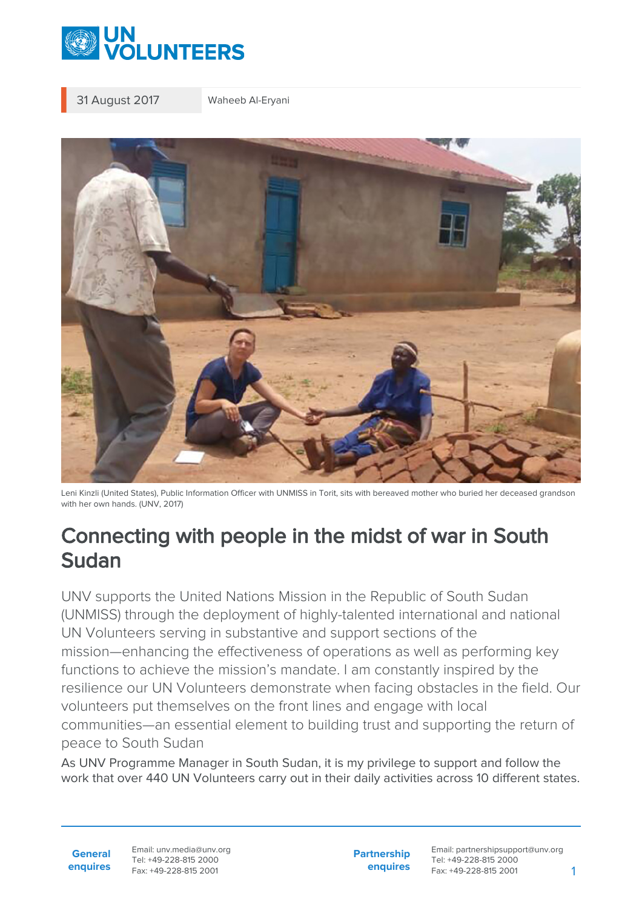

31 August 2017 Waheeb Al-Eryani



Leni Kinzli (United States), Public Information Officer with UNMISS in Torit, sits with bereaved mother who buried her deceased grandson with her own hands. (UNV, 2017)

## Connecting with people in the midst of war in South Sudan

UNV supports the United Nations Mission in the Republic of South Sudan (UNMISS) through the deployment of highly-talented international and national UN Volunteers serving in substantive and support sections of the mission—enhancing the effectiveness of operations as well as performing key functions to achieve the mission's mandate. I am constantly inspired by the resilience our UN Volunteers demonstrate when facing obstacles in the field. Our volunteers put themselves on the front lines and engage with local communities—an essential element to building trust and supporting the return of peace to South Sudan

As UNV Programme Manager in South Sudan, it is my privilege to support and follow the work that over 440 UN Volunteers carry out in their daily activities across 10 different states.

**General enquires** Email: unv.media@unv.org Tel: +49-228-815 2000 Fax: +49-228-815 2001

**Partnership enquires**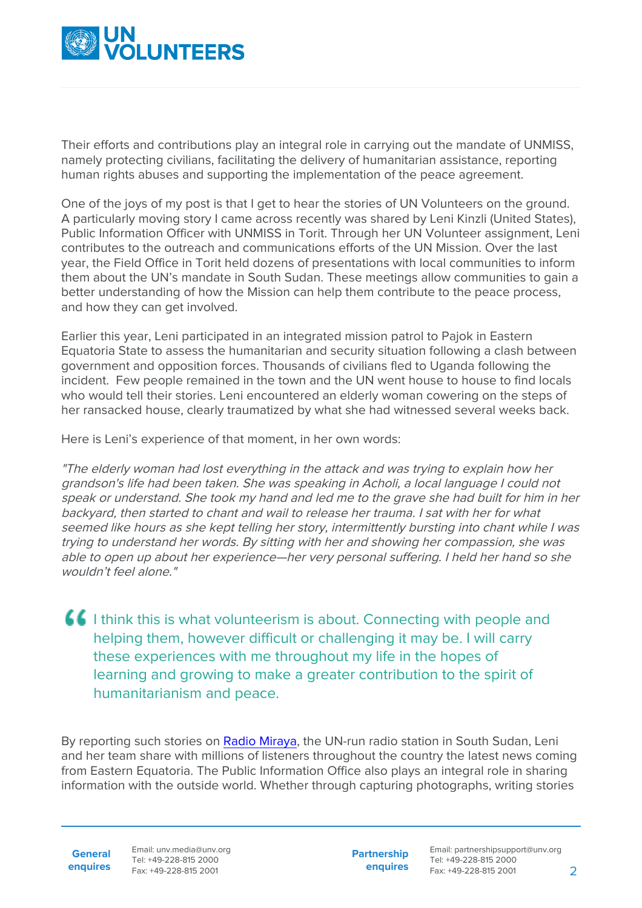

Their efforts and contributions play an integral role in carrying out the mandate of UNMISS, namely protecting civilians, facilitating the delivery of humanitarian assistance, reporting human rights abuses and supporting the implementation of the peace agreement.

One of the joys of my post is that I get to hear the stories of UN Volunteers on the ground. A particularly moving story I came across recently was shared by Leni Kinzli (United States), Public Information Officer with UNMISS in Torit. Through her UN Volunteer assignment, Leni contributes to the outreach and communications efforts of the UN Mission. Over the last year, the Field Office in Torit held dozens of presentations with local communities to inform them about the UN's mandate in South Sudan. These meetings allow communities to gain a better understanding of how the Mission can help them contribute to the peace process, and how they can get involved.

Earlier this year, Leni participated in an integrated mission patrol to Pajok in Eastern Equatoria State to assess the humanitarian and security situation following a clash between government and opposition forces. Thousands of civilians fled to Uganda following the incident. Few people remained in the town and the UN went house to house to find locals who would tell their stories. Leni encountered an elderly woman cowering on the steps of her ransacked house, clearly traumatized by what she had witnessed several weeks back.

Here is Leni's experience of that moment, in her own words:

"The elderly woman had lost everything in the attack and was trying to explain how her grandson's life had been taken. She was speaking in Acholi, a local language I could not speak or understand. She took my hand and led me to the grave she had built for him in her backyard, then started to chant and wail to release her trauma. I sat with her for what seemed like hours as she kept telling her story, intermittently bursting into chant while I was trying to understand her words. By sitting with her and showing her compassion, she was able to open up about her experience—her very personal suffering. I held her hand so she wouldn't feel alone."

**I** I think this is what volunteerism is about. Connecting with people and helping them, however difficult or challenging it may be. I will carry these experiences with me throughout my life in the hopes of learning and growing to make a greater contribution to the spirit of humanitarianism and peace.

By reporting such stories on [Radio Miraya](https://unmiss.unmissions.org/radio-miraya-news), the UN-run radio station in South Sudan, Leni and her team share with millions of listeners throughout the country the latest news coming from Eastern Equatoria. The Public Information Office also plays an integral role in sharing information with the outside world. Whether through capturing photographs, writing stories

**General enquires** Email: unv.media@unv.org Tel: +49-228-815 2000 Fax: +49-228-815 2001

**Partnership enquires**

Email: partnershipsupport@unv.org Tel: +49-228-815 2000 Fax: +49-228-815 2001 2